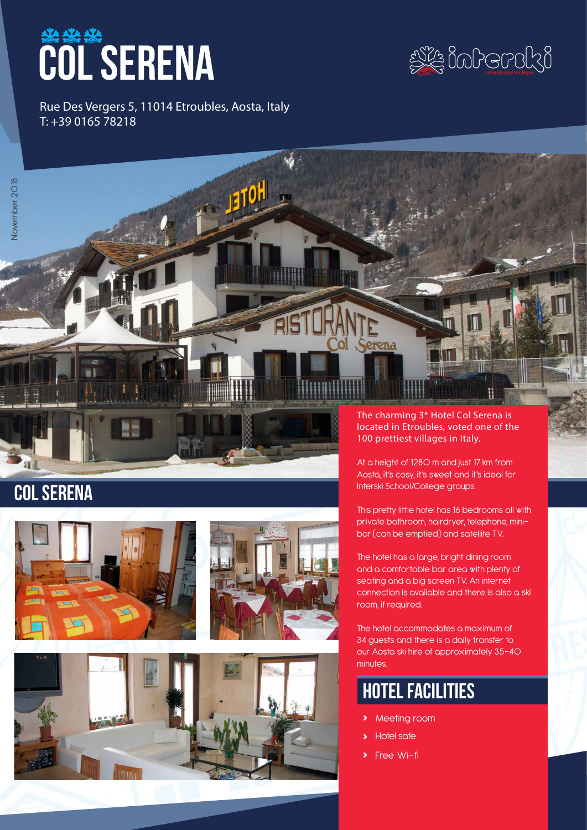# **COL SERENA**



Rue Des Vergers 5, 11014 Etroubles, Aosta, Italy T: +39 0165 78218

# COL SERENA





The charming 3\* Hotel Col Serena is located in Etroubles, voted one of the 100 prettiest villages in Italy.

At a height of 1280 m and just 17 km from Aosta, it's cosy, it's sweet and it's ideal for Interski School/College groups.

This pretty little hotel has 16 bedrooms all with private bathroom, hairdryer, telephone, minibar (can be emptied) and satellite TV.

The hotel has a large, bright dining room and a comfortable bar area with plenty of seating and a big screen TV. An internet connection is available and there is also a ski room, if required.

The hotel accommodates a maximum of 34 guests and there is a daily transfer to our Aosta ski hire of approximately 35-40 minutes.

# hotel facilities

- **›** Meeting room
- **›** Hotel safe
- **Free Wi-fi**